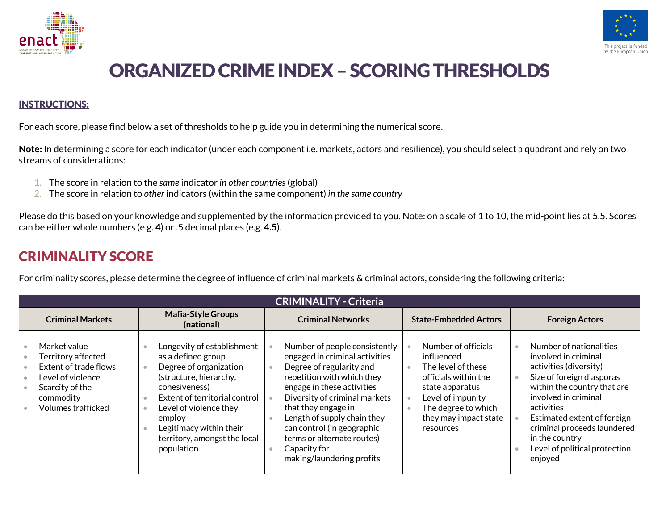



## ORGANIZED CRIME INDEX - SCORING THRESHOLDS

## INSTRUCTIONS:

For each score, please find below a set of thresholds to help guide you in determining the numerical score.

**Note:** In determining a score for each indicator (under each component i.e. markets, actors and resilience), you should select a quadrant and rely on two streams of considerations:

- 1. The score in relation to the *same* indicator *in other countries*(global)
- 2. The score in relation to *other* indicators (within the same component) *in the same country*

Please do this based on your knowledge and supplemented by the information provided to you. Note: on a scale of 1 to 10, the mid-point lies at 5.5. Scores can be either whole numbers (e.g. **4**) or .5 decimal places (e.g. **4.5**).

## CRIMINALITY SCORE

For criminality scores, please determine the degree of influence of criminal markets & criminal actors, considering the following criteria:

| <b>CRIMINALITY - Criteria</b>                                                                                                          |                                                                                                                                                                                                                                                                                  |                                                                                                                                                                                                                                                                                                                                                         |                                                                                                                                                                                      |                                                                                                                                                                                                                                                                                                         |  |
|----------------------------------------------------------------------------------------------------------------------------------------|----------------------------------------------------------------------------------------------------------------------------------------------------------------------------------------------------------------------------------------------------------------------------------|---------------------------------------------------------------------------------------------------------------------------------------------------------------------------------------------------------------------------------------------------------------------------------------------------------------------------------------------------------|--------------------------------------------------------------------------------------------------------------------------------------------------------------------------------------|---------------------------------------------------------------------------------------------------------------------------------------------------------------------------------------------------------------------------------------------------------------------------------------------------------|--|
| <b>Criminal Markets</b>                                                                                                                | <b>Mafia-Style Groups</b><br>(national)                                                                                                                                                                                                                                          | <b>Criminal Networks</b>                                                                                                                                                                                                                                                                                                                                | <b>State-Embedded Actors</b>                                                                                                                                                         | <b>Foreign Actors</b>                                                                                                                                                                                                                                                                                   |  |
| Market value<br>Territory affected<br>Extent of trade flows<br>Level of violence<br>Scarcity of the<br>commodity<br>Volumes trafficked | Longevity of establishment<br>as a defined group<br>Degree of organization<br>(structure, hierarchy,<br>cohesiveness)<br>Extent of territorial control<br>Level of violence they<br>$\bullet$<br>employ<br>Legitimacy within their<br>territory, amongst the local<br>population | Number of people consistently<br>engaged in criminal activities<br>Degree of regularity and<br>repetition with which they<br>engage in these activities<br>Diversity of criminal markets<br>that they engage in<br>Length of supply chain they<br>can control (in geographic<br>terms or alternate routes)<br>Capacity for<br>making/laundering profits | Number of officials<br>influenced<br>The level of these<br>officials within the<br>state apparatus<br>Level of impunity<br>The degree to which<br>they may impact state<br>resources | Number of nationalities<br>involved in criminal<br>activities (diversity)<br>Size of foreign diasporas<br>within the country that are<br>involved in criminal<br>activities<br>Estimated extent of foreign<br>criminal proceeds laundered<br>in the country<br>Level of political protection<br>enjoyed |  |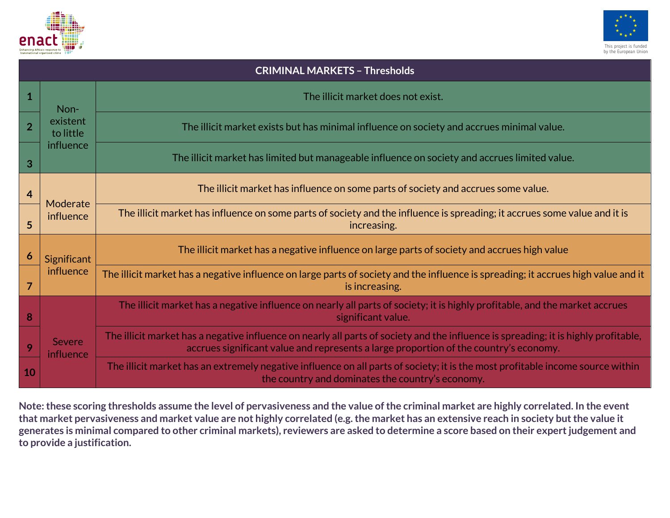



| <b>CRIMINAL MARKETS - Thresholds</b> |                            |                                                                                                                                                                                                                              |  |  |  |
|--------------------------------------|----------------------------|------------------------------------------------------------------------------------------------------------------------------------------------------------------------------------------------------------------------------|--|--|--|
| $\mathbf{1}$                         | Non-                       | The illicit market does not exist.                                                                                                                                                                                           |  |  |  |
| $\overline{2}$                       | existent<br>to little      | The illicit market exists but has minimal influence on society and accrues minimal value.                                                                                                                                    |  |  |  |
| 3                                    | influence                  | The illicit market has limited but manageable influence on society and accrues limited value.                                                                                                                                |  |  |  |
| $\overline{4}$                       | Moderate<br>influence      | The illicit market has influence on some parts of society and accrues some value.                                                                                                                                            |  |  |  |
| 5                                    |                            | The illicit market has influence on some parts of society and the influence is spreading; it accrues some value and it is<br>increasing.                                                                                     |  |  |  |
| $\boldsymbol{6}$                     | Significant<br>influence   | The illicit market has a negative influence on large parts of society and accrues high value                                                                                                                                 |  |  |  |
| $\overline{7}$                       |                            | The illicit market has a negative influence on large parts of society and the influence is spreading; it accrues high value and it<br>is increasing.                                                                         |  |  |  |
| 8                                    | <b>Severe</b><br>influence | The illicit market has a negative influence on nearly all parts of society; it is highly profitable, and the market accrues<br>significant value.                                                                            |  |  |  |
| 9                                    |                            | The illicit market has a negative influence on nearly all parts of society and the influence is spreading; it is highly profitable,<br>accrues significant value and represents a large proportion of the country's economy. |  |  |  |
| 10                                   |                            | The illicit market has an extremely negative influence on all parts of society; it is the most profitable income source within<br>the country and dominates the country's economy.                                           |  |  |  |

**Note: these scoring thresholds assume the level of pervasiveness and the value of the criminal market are highly correlated. In the event that market pervasiveness and market value are not highly correlated (e.g. the market has an extensive reach in society but the value it generates is minimal compared to other criminal markets), reviewers are asked to determine a score based on their expert judgement and to provide a justification.**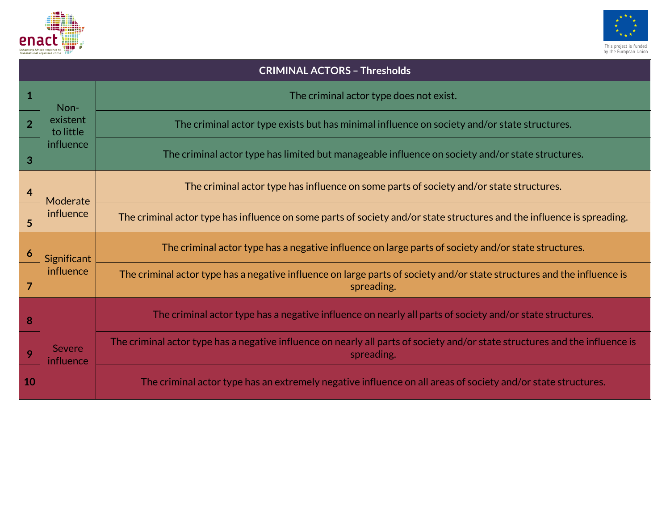



| <b>CRIMINAL ACTORS - Thresholds</b> |                                    |                                                                                                                                            |  |  |  |
|-------------------------------------|------------------------------------|--------------------------------------------------------------------------------------------------------------------------------------------|--|--|--|
| 1                                   | Non-                               | The criminal actor type does not exist.                                                                                                    |  |  |  |
| $\overline{2}$                      | existent<br>to little<br>influence | The criminal actor type exists but has minimal influence on society and/or state structures.                                               |  |  |  |
| 3                                   |                                    | The criminal actor type has limited but manageable influence on society and/or state structures.                                           |  |  |  |
| 4                                   | Moderate<br>influence              | The criminal actor type has influence on some parts of society and/or state structures.                                                    |  |  |  |
| 5                                   |                                    | The criminal actor type has influence on some parts of society and/or state structures and the influence is spreading.                     |  |  |  |
| 6                                   | Significant<br>influence           | The criminal actor type has a negative influence on large parts of society and/or state structures.                                        |  |  |  |
| 7                                   |                                    | The criminal actor type has a negative influence on large parts of society and/or state structures and the influence is<br>spreading.      |  |  |  |
| 8                                   |                                    | The criminal actor type has a negative influence on nearly all parts of society and/or state structures.                                   |  |  |  |
| 9                                   | <b>Severe</b><br><b>influence</b>  | The criminal actor type has a negative influence on nearly all parts of society and/or state structures and the influence is<br>spreading. |  |  |  |
| 10                                  |                                    | The criminal actor type has an extremely negative influence on all areas of society and/or state structures.                               |  |  |  |